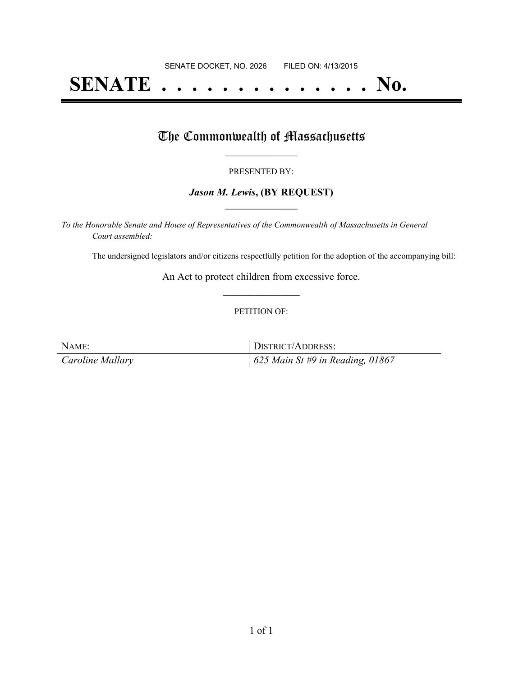# **SENATE . . . . . . . . . . . . . . No.**

## The Commonwealth of Massachusetts

#### PRESENTED BY:

#### *Jason M. Lewis***, (BY REQUEST) \_\_\_\_\_\_\_\_\_\_\_\_\_\_\_\_\_**

*To the Honorable Senate and House of Representatives of the Commonwealth of Massachusetts in General Court assembled:*

The undersigned legislators and/or citizens respectfully petition for the adoption of the accompanying bill:

An Act to protect children from excessive force. **\_\_\_\_\_\_\_\_\_\_\_\_\_\_\_**

#### PETITION OF:

NAME: DISTRICT/ADDRESS: *Caroline Mallary 625 Main St #9 in Reading, 01867*